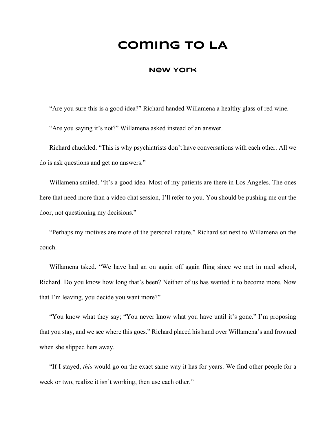# **Coming to LA**

### **New York**

"Are you sure this is a good idea?" Richard handed Willamena a healthy glass of red wine. "Are you saying it's not?" Willamena asked instead of an answer.

Richard chuckled. "This is why psychiatrists don't have conversations with each other. All we do is ask questions and get no answers."

Willamena smiled. "It's a good idea. Most of my patients are there in Los Angeles. The ones here that need more than a video chat session, I'll refer to you. You should be pushing me out the door, not questioning my decisions."

"Perhaps my motives are more of the personal nature." Richard sat next to Willamena on the couch.

Willamena tsked. "We have had an on again off again fling since we met in med school, Richard. Do you know how long that's been? Neither of us has wanted it to become more. Now that I'm leaving, you decide you want more?"

"You know what they say; "You never know what you have until it's gone." I'm proposing that you stay, and we see where this goes." Richard placed his hand over Willamena's and frowned when she slipped hers away.

"If I stayed, *this* would go on the exact same way it has for years. We find other people for a week or two, realize it isn't working, then use each other."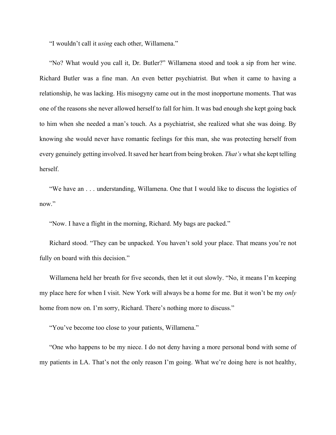"I wouldn't call it *using* each other, Willamena."

"No? What would you call it, Dr. Butler?" Willamena stood and took a sip from her wine. Richard Butler was a fine man. An even better psychiatrist. But when it came to having a relationship, he was lacking. His misogyny came out in the most inopportune moments. That was one of the reasons she never allowed herself to fall for him. It was bad enough she kept going back to him when she needed a man's touch. As a psychiatrist, she realized what she was doing. By knowing she would never have romantic feelings for this man, she was protecting herself from every genuinely getting involved. It saved her heart from being broken. *That's* what she kept telling herself.

"We have an . . . understanding, Willamena. One that I would like to discuss the logistics of now."

"Now. I have a flight in the morning, Richard. My bags are packed."

Richard stood. "They can be unpacked. You haven't sold your place. That means you're not fully on board with this decision."

Willamena held her breath for five seconds, then let it out slowly. "No, it means I'm keeping my place here for when I visit. New York will always be a home for me. But it won't be my *only* home from now on. I'm sorry, Richard. There's nothing more to discuss."

"You've become too close to your patients, Willamena."

"One who happens to be my niece. I do not deny having a more personal bond with some of my patients in LA. That's not the only reason I'm going. What we're doing here is not healthy,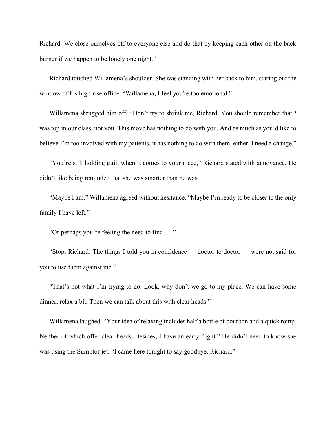Richard. We close ourselves off to everyone else and do that by keeping each other on the back burner if we happen to be lonely one night."

Richard touched Willamena's shoulder. She was standing with her back to him, staring out the window of his high-rise office. "Willamena, I feel you're too emotional."

Willamena shrugged him off. "Don't try to shrink me, Richard. You should remember that *I* was top in our class, not you. This move has nothing to do with you. And as much as you'd like to believe I'm too involved with my patients, it has nothing to do with them, either. I need a change."

"You're still holding guilt when it comes to your niece," Richard stated with annoyance. He didn't like being reminded that she was smarter than he was.

"Maybe I am," Willamena agreed without hesitance. "Maybe I'm ready to be closer to the only family I have left."

"Or perhaps you're feeling the need to find . . ."

"Stop, Richard. The things I told you in confidence — doctor to doctor — were not said for you to use them against me."

"That's not what I'm trying to do. Look, why don't we go to my place. We can have some dinner, relax a bit. Then we can talk about this with clear heads."

Willamena laughed. "Your idea of relaxing includes half a bottle of bourbon and a quick romp. Neither of which offer clear heads. Besides, I have an early flight." He didn't need to know she was using the Sumptor jet. "I came here tonight to say goodbye, Richard."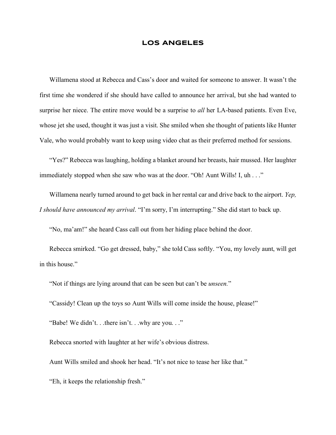#### **LOS ANGELES**

Willamena stood at Rebecca and Cass's door and waited for someone to answer. It wasn't the first time she wondered if she should have called to announce her arrival, but she had wanted to surprise her niece. The entire move would be a surprise to *all* her LA-based patients. Even Eve, whose jet she used, thought it was just a visit. She smiled when she thought of patients like Hunter Vale, who would probably want to keep using video chat as their preferred method for sessions.

"Yes?" Rebecca was laughing, holding a blanket around her breasts, hair mussed. Her laughter immediately stopped when she saw who was at the door. "Oh! Aunt Wills! I, uh . . ."

Willamena nearly turned around to get back in her rental car and drive back to the airport. *Yep, I should have announced my arrival*. "I'm sorry, I'm interrupting." She did start to back up.

"No, ma'am!" she heard Cass call out from her hiding place behind the door.

Rebecca smirked. "Go get dressed, baby," she told Cass softly. "You, my lovely aunt, will get in this house."

"Not if things are lying around that can be seen but can't be *unseen.*"

"Cassidy! Clean up the toys so Aunt Wills will come inside the house, please!"

"Babe! We didn't. . .there isn't. . .why are you. . ."

Rebecca snorted with laughter at her wife's obvious distress.

Aunt Wills smiled and shook her head. "It's not nice to tease her like that."

"Eh, it keeps the relationship fresh."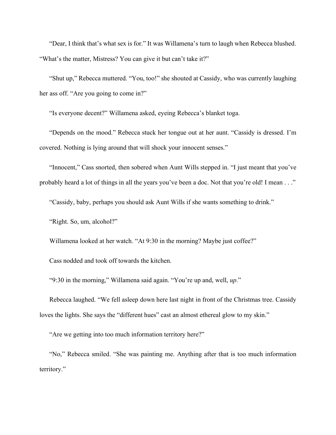"Dear, I think that's what sex is for." It was Willamena's turn to laugh when Rebecca blushed. "What's the matter, Mistress? You can give it but can't take it?"

"Shut up," Rebecca muttered. "You, too!" she shouted at Cassidy, who was currently laughing her ass off. "Are you going to come in?"

"Is everyone decent?" Willamena asked, eyeing Rebecca's blanket toga.

"Depends on the mood." Rebecca stuck her tongue out at her aunt. "Cassidy is dressed. I'm covered. Nothing is lying around that will shock your innocent senses."

"Innocent," Cass snorted, then sobered when Aunt Wills stepped in. "I just meant that you've probably heard a lot of things in all the years you've been a doc. Not that you're old! I mean . . ."

"Cassidy, baby, perhaps you should ask Aunt Wills if she wants something to drink."

"Right. So, um, alcohol?"

Willamena looked at her watch. "At 9:30 in the morning? Maybe just coffee?"

Cass nodded and took off towards the kitchen.

"9:30 in the morning," Willamena said again. "You're up and, well, *up*."

Rebecca laughed. "We fell asleep down here last night in front of the Christmas tree. Cassidy loves the lights. She says the "different hues" cast an almost ethereal glow to my skin."

"Are we getting into too much information territory here?"

"No," Rebecca smiled. "She was painting me. Anything after that is too much information territory."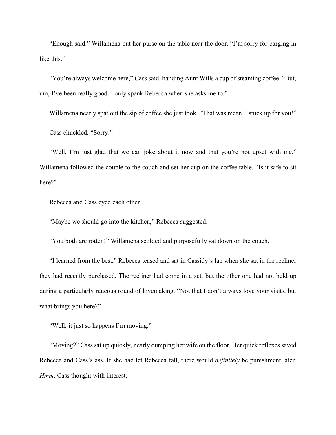"Enough said." Willamena put her purse on the table near the door. "I'm sorry for barging in like this."

"You're always welcome here," Cass said, handing Aunt Wills a cup of steaming coffee. "But, um, I've been really good. I only spank Rebecca when she asks me to."

Willamena nearly spat out the sip of coffee she just took. "That was mean. I stuck up for you!" Cass chuckled. "Sorry."

"Well, I'm just glad that we can joke about it now and that you're not upset with me." Willamena followed the couple to the couch and set her cup on the coffee table. "Is it safe to sit here?"

Rebecca and Cass eyed each other.

"Maybe we should go into the kitchen," Rebecca suggested.

"You both are rotten!" Willamena scolded and purposefully sat down on the couch.

"I learned from the best," Rebecca teased and sat in Cassidy's lap when she sat in the recliner they had recently purchased. The recliner had come in a set, but the other one had not held up during a particularly raucous round of lovemaking. "Not that I don't always love your visits, but what brings you here?"

"Well, it just so happens I'm moving."

"Moving?" Cass sat up quickly, nearly dumping her wife on the floor. Her quick reflexes saved Rebecca and Cass's ass. If she had let Rebecca fall, there would *definitely* be punishment later. *Hmm*, Cass thought with interest.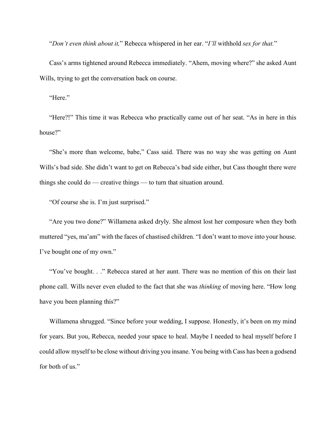"*Don't even think about it,*" Rebecca whispered in her ear. "*I'll* withhold *sex for that.*"

Cass's arms tightened around Rebecca immediately. "Ahem, moving where?" she asked Aunt Wills, trying to get the conversation back on course.

"Here."

"Here?!" This time it was Rebecca who practically came out of her seat. "As in here in this house?"

"She's more than welcome, babe," Cass said. There was no way she was getting on Aunt Wills's bad side. She didn't want to get on Rebecca's bad side either, but Cass thought there were things she could do — creative things — to turn that situation around.

"Of course she is. I'm just surprised."

"Are you two done?" Willamena asked dryly. She almost lost her composure when they both muttered "yes, ma'am" with the faces of chastised children. "I don't want to move into your house. I've bought one of my own."

"You've bought. . ." Rebecca stared at her aunt. There was no mention of this on their last phone call. Wills never even eluded to the fact that she was *thinking* of moving here. "How long have you been planning this?"

Willamena shrugged. "Since before your wedding, I suppose. Honestly, it's been on my mind for years. But you, Rebecca, needed your space to heal. Maybe I needed to heal myself before I could allow myself to be close without driving you insane. You being with Cass has been a godsend for both of us."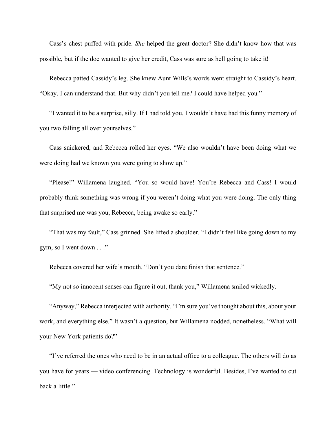Cass's chest puffed with pride. *She* helped the great doctor? She didn't know how that was possible, but if the doc wanted to give her credit, Cass was sure as hell going to take it!

Rebecca patted Cassidy's leg. She knew Aunt Wills's words went straight to Cassidy's heart. "Okay, I can understand that. But why didn't you tell me? I could have helped you."

"I wanted it to be a surprise, silly. If I had told you, I wouldn't have had this funny memory of you two falling all over yourselves."

Cass snickered, and Rebecca rolled her eyes. "We also wouldn't have been doing what we were doing had we known you were going to show up."

"Please!" Willamena laughed. "You so would have! You're Rebecca and Cass! I would probably think something was wrong if you weren't doing what you were doing. The only thing that surprised me was you, Rebecca, being awake so early."

"That was my fault," Cass grinned. She lifted a shoulder. "I didn't feel like going down to my gym, so I went down . . ."

Rebecca covered her wife's mouth. "Don't you dare finish that sentence."

"My not so innocent senses can figure it out, thank you," Willamena smiled wickedly.

"Anyway," Rebecca interjected with authority. "I'm sure you've thought about this, about your work, and everything else." It wasn't a question, but Willamena nodded, nonetheless. "What will your New York patients do?"

"I've referred the ones who need to be in an actual office to a colleague. The others will do as you have for years — video conferencing. Technology is wonderful. Besides, I've wanted to cut back a little."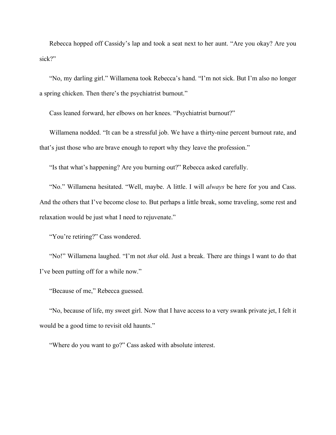Rebecca hopped off Cassidy's lap and took a seat next to her aunt. "Are you okay? Are you sick?"

"No, my darling girl." Willamena took Rebecca's hand. "I'm not sick. But I'm also no longer a spring chicken. Then there's the psychiatrist burnout."

Cass leaned forward, her elbows on her knees. "Psychiatrist burnout?"

Willamena nodded. "It can be a stressful job. We have a thirty-nine percent burnout rate, and that's just those who are brave enough to report why they leave the profession."

"Is that what's happening? Are you burning out?" Rebecca asked carefully.

"No." Willamena hesitated. "Well, maybe. A little. I will *always* be here for you and Cass. And the others that I've become close to. But perhaps a little break, some traveling, some rest and relaxation would be just what I need to rejuvenate."

"You're retiring?" Cass wondered.

"No!" Willamena laughed. "I'm not *that* old. Just a break. There are things I want to do that I've been putting off for a while now."

"Because of me," Rebecca guessed.

"No, because of life, my sweet girl. Now that I have access to a very swank private jet, I felt it would be a good time to revisit old haunts."

"Where do you want to go?" Cass asked with absolute interest.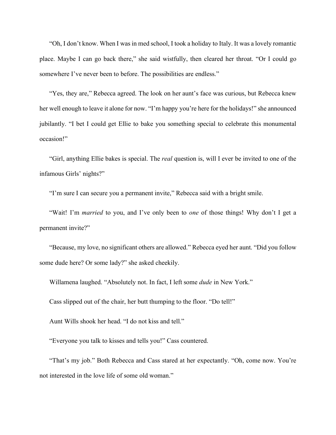"Oh, I don't know. When I was in med school, I took a holiday to Italy. It was a lovely romantic place. Maybe I can go back there," she said wistfully, then cleared her throat. "Or I could go somewhere I've never been to before. The possibilities are endless."

"Yes, they are," Rebecca agreed. The look on her aunt's face was curious, but Rebecca knew her well enough to leave it alone for now. "I'm happy you're here for the holidays!" she announced jubilantly. "I bet I could get Ellie to bake you something special to celebrate this monumental occasion!"

"Girl, anything Ellie bakes is special. The *real* question is, will I ever be invited to one of the infamous Girls' nights?"

"I'm sure I can secure you a permanent invite," Rebecca said with a bright smile.

"Wait! I'm *married* to you, and I've only been to *one* of those things! Why don't I get a permanent invite?"

"Because, my love, no significant others are allowed." Rebecca eyed her aunt. "Did you follow some dude here? Or some lady?" she asked cheekily.

Willamena laughed. "Absolutely not. In fact, I left some *dude* in New York."

Cass slipped out of the chair, her butt thumping to the floor. "Do tell!"

Aunt Wills shook her head. "I do not kiss and tell."

"Everyone you talk to kisses and tells you!" Cass countered.

"That's my job." Both Rebecca and Cass stared at her expectantly. "Oh, come now. You're not interested in the love life of some old woman."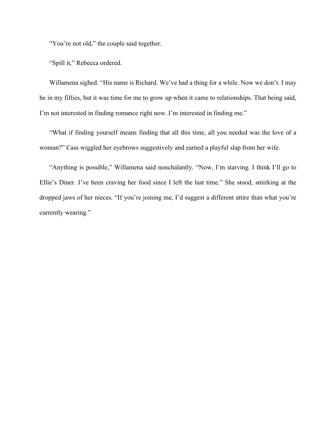"You're not old," the couple said together.

"Spill it," Rebecca ordered.

Willamena sighed. "His name is Richard. We've had a thing for a while. Now we don't. I may be in my fifties, but it was time for me to grow up when it came to relationships. That being said, I'm not interested in finding romance right now. I'm interested in finding me."

"What if finding yourself means finding that all this time, all you needed was the love of a woman?" Cass wiggled her eyebrows suggestively and earned a playful slap from her wife.

"Anything is possible," Willamena said nonchalantly. "Now, I'm starving. I think I'll go to Ellie's Diner. I've been craving her food since I left the last time." She stood, smirking at the dropped jaws of her nieces. "If you're joining me, I'd suggest a different attire than what you're currently wearing."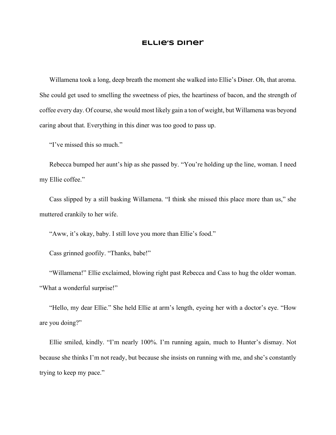#### **Ellie's Diner**

Willamena took a long, deep breath the moment she walked into Ellie's Diner. Oh, that aroma. She could get used to smelling the sweetness of pies, the heartiness of bacon, and the strength of coffee every day. Of course, she would most likely gain a ton of weight, but Willamena was beyond caring about that. Everything in this diner was too good to pass up.

"I've missed this so much."

Rebecca bumped her aunt's hip as she passed by. "You're holding up the line, woman. I need my Ellie coffee."

Cass slipped by a still basking Willamena. "I think she missed this place more than us," she muttered crankily to her wife.

"Aww, it's okay, baby. I still love you more than Ellie's food."

Cass grinned goofily. "Thanks, babe!"

"Willamena!" Ellie exclaimed, blowing right past Rebecca and Cass to hug the older woman. "What a wonderful surprise!"

"Hello, my dear Ellie." She held Ellie at arm's length, eyeing her with a doctor's eye. "How are you doing?"

Ellie smiled, kindly. "I'm nearly 100%. I'm running again, much to Hunter's dismay. Not because she thinks I'm not ready, but because she insists on running with me, and she's constantly trying to keep my pace."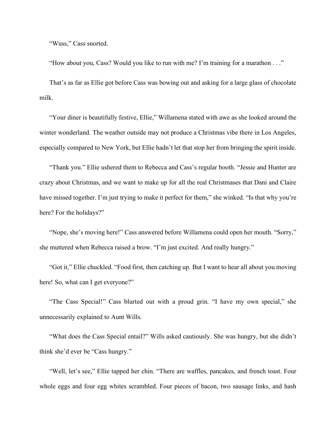"Wuss," Cass snorted.

"How about you, Cass? Would you like to run with me? I'm training for a marathon . . ."

That's as far as Ellie got before Cass was bowing out and asking for a large glass of chocolate milk.

"Your diner is beautifully festive, Ellie," Willamena stated with awe as she looked around the winter wonderland. The weather outside may not produce a Christmas vibe there in Los Angeles, especially compared to New York, but Ellie hadn't let that stop her from bringing the spirit inside.

"Thank you." Ellie ushered them to Rebecca and Cass's regular booth. "Jessie and Hunter are crazy about Christmas, and we want to make up for all the real Christmases that Dani and Claire have missed together. I'm just trying to make it perfect for them," she winked. "Is that why you're here? For the holidays?"

"Nope, she's moving here!" Cass answered before Willamena could open her mouth. "Sorry," she muttered when Rebecca raised a brow. "I'm just excited. And really hungry."

"Got it," Ellie chuckled. "Food first, then catching up. But I want to hear all about you moving here! So, what can I get everyone?"

"The Cass Special!" Cass blurted out with a proud grin. "I have my own special," she unnecessarily explained to Aunt Wills.

"What does the Cass Special entail?" Wills asked cautiously. She was hungry, but she didn't think she'd ever be "Cass hungry."

"Well, let's see," Ellie tapped her chin. "There are waffles, pancakes, and french toast. Four whole eggs and four egg whites scrambled. Four pieces of bacon, two sausage links, and hash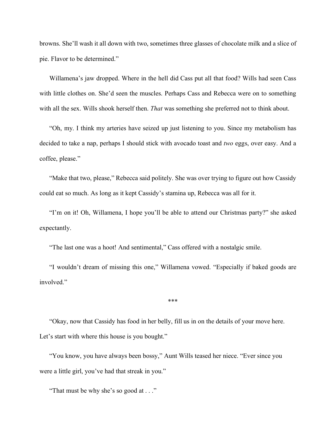browns. She'll wash it all down with two, sometimes three glasses of chocolate milk and a slice of pie. Flavor to be determined."

Willamena's jaw dropped. Where in the hell did Cass put all that food? Wills had seen Cass with little clothes on. She'd seen the muscles. Perhaps Cass and Rebecca were on to something with all the sex. Wills shook herself then. *That* was something she preferred not to think about.

"Oh, my. I think my arteries have seized up just listening to you. Since my metabolism has decided to take a nap, perhaps I should stick with avocado toast and *two* eggs, over easy. And a coffee, please."

"Make that two, please," Rebecca said politely. She was over trying to figure out how Cassidy could eat so much. As long as it kept Cassidy's stamina up, Rebecca was all for it.

"I'm on it! Oh, Willamena, I hope you'll be able to attend our Christmas party?" she asked expectantly.

"The last one was a hoot! And sentimental," Cass offered with a nostalgic smile.

"I wouldn't dream of missing this one," Willamena vowed. "Especially if baked goods are involved."

\*\*\*

"Okay, now that Cassidy has food in her belly, fill us in on the details of your move here. Let's start with where this house is you bought."

"You know, you have always been bossy," Aunt Wills teased her niece. "Ever since you were a little girl, you've had that streak in you."

"That must be why she's so good at . . ."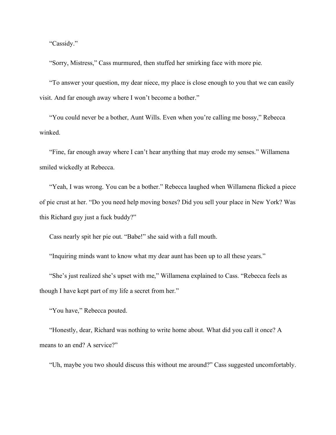"Cassidy."

"Sorry, Mistress," Cass murmured, then stuffed her smirking face with more pie.

"To answer your question, my dear niece, my place is close enough to you that we can easily visit. And far enough away where I won't become a bother."

"You could never be a bother, Aunt Wills. Even when you're calling me bossy," Rebecca winked.

"Fine, far enough away where I can't hear anything that may erode my senses." Willamena smiled wickedly at Rebecca.

"Yeah, I was wrong. You can be a bother." Rebecca laughed when Willamena flicked a piece of pie crust at her. "Do you need help moving boxes? Did you sell your place in New York? Was this Richard guy just a fuck buddy?"

Cass nearly spit her pie out. "Babe!" she said with a full mouth.

"Inquiring minds want to know what my dear aunt has been up to all these years."

"She's just realized she's upset with me," Willamena explained to Cass. "Rebecca feels as though I have kept part of my life a secret from her."

"You have," Rebecca pouted.

"Honestly, dear, Richard was nothing to write home about. What did you call it once? A means to an end? A service?"

"Uh, maybe you two should discuss this without me around?" Cass suggested uncomfortably.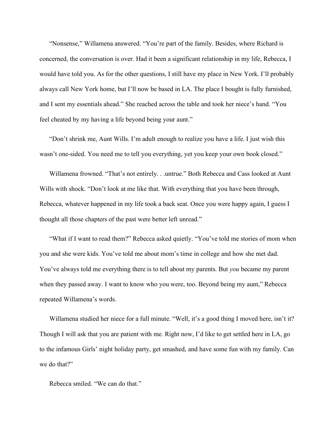"Nonsense," Willamena answered. "You're part of the family. Besides, where Richard is concerned, the conversation is over. Had it been a significant relationship in my life, Rebecca, I would have told you. As for the other questions, I still have my place in New York. I'll probably always call New York home, but I'll now be based in LA. The place I bought is fully furnished, and I sent my essentials ahead." She reached across the table and took her niece's hand. "You feel cheated by my having a life beyond being your aunt."

"Don't shrink me, Aunt Wills. I'm adult enough to realize you have a life. I just wish this wasn't one-sided. You need me to tell you everything, yet you keep your own book closed."

Willamena frowned. "That's not entirely. . .untrue." Both Rebecca and Cass looked at Aunt Wills with shock. "Don't look at me like that. With everything that you have been through, Rebecca, whatever happened in my life took a back seat. Once you were happy again, I guess I thought all those chapters of the past were better left unread."

"What if I want to read them?" Rebecca asked quietly. "You've told me stories of mom when you and she were kids. You've told me about mom's time in college and how she met dad. You've always told me everything there is to tell about my parents. But *you* became my parent when they passed away. I want to know who you were, too. Beyond being my aunt," Rebecca repeated Willamena's words.

Willamena studied her niece for a full minute. "Well, it's a good thing I moved here, isn't it? Though I will ask that you are patient with me. Right now, I'd like to get settled here in LA, go to the infamous Girls' night holiday party, get smashed, and have some fun with my family. Can we do that?"

Rebecca smiled. "We can do that."